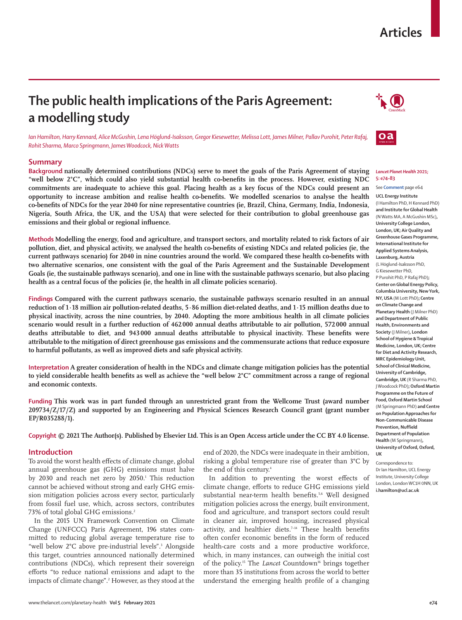# **Articles**

# **The public health implications of the Paris Agreement: a modelling study**

*Ian Hamilton, Harry Kennard, Alice McGushin, Lena Höglund-Isaksson, Gregor Kiesewetter, Melissa Lott, James Milner, Pallav Purohit, Peter Rafaj, Rohit Sharma, Marco Springmann, James Woodcock, Nick Watts*

# **Summary**

**Background nationally determined contributions (NDCs) serve to meet the goals of the Paris Agreement of staying "well below 2°C", which could also yield substantial health co-benefits in the process. However, existing NDC commitments are inadequate to achieve this goal. Placing health as a key focus of the NDCs could present an opportunity to increase ambition and realise health co-benefits. We modelled scenarios to analyse the health co-benefits of NDCs for the year 2040 for nine representative countries (ie, Brazil, China, Germany, India, Indonesia, Nigeria, South Africa, the UK, and the USA) that were selected for their contribution to global greenhouse gas emissions and their global or regional influence.**

**Methods Modelling the energy, food and agriculture, and transport sectors, and mortality related to risk factors of air pollution, diet, and physical activity, we analysed the health co-benefits of existing NDCs and related policies (ie, the current pathways scenario) for 2040 in nine countries around the world. We compared these health co-benefits with two alternative scenarios, one consistent with the goal of the Paris Agreement and the Sustainable Development Goals (ie, the sustainable pathways scenario), and one in line with the sustainable pathways scenario, but also placing health as a central focus of the policies (ie, the health in all climate policies scenario).**

**Findings Compared with the current pathways scenario, the sustainable pathways scenario resulted in an annual reduction of 1·18 million air pollution-related deaths, 5·86 million diet-related deaths, and 1·15 million deaths due to physical inactivity, across the nine countries, by 2040. Adopting the more ambitious health in all climate policies scenario would result in a further reduction of 462000 annual deaths attributable to air pollution, 572000 annual deaths attributable to diet, and 943 000 annual deaths attributable to physical inactivity. These benefits were attributable to the mitigation of direct greenhouse gas emissions and the commensurate actions that reduce exposure to harmful pollutants, as well as improved diets and safe physical activity.**

**Interpretation A greater consideration of health in the NDCs and climate change mitigation policies has the potential to yield considerable health benefits as well as achieve the "well below 2°C" commitment across a range of regional and economic contexts.**

**Funding This work was in part funded through an unrestricted grant from the Wellcome Trust (award number 209734/Z/17/Z) and supported by an Engineering and Physical Sciences Research Council grant (grant number EP/R035288/1).**

**Copyright © 2021 The Author(s). Published by Elsevier Ltd. This is an Open Access article under the CC BY 4.0 license.**

## **Introduction**

To avoid the worst health effects of climate change, global annual greenhouse gas (GHG) emissions must halve by 2030 and reach net zero by 2050.1 This reduction cannot be achieved without strong and early GHG emission mitigation policies across every sector, particularly from fossil fuel use, which, across sectors, contributes 73% of total global GHG emissions.<sup>2</sup>

In the 2015 UN Framework Convention on Climate Change (UNFCCC) Paris Agreement, 196 states committed to reducing global average temperature rise to "well below 2°C above pre-industrial levels".3 Alongside this target, countries announced nationally determined contributions (NDCs), which represent their sovereign efforts "to reduce national emissions and adapt to the impacts of climate change".2 However, as they stood at the end of 2020, the NDCs were inadequate in their ambition, risking a global temperature rise of greater than 3°C by the end of this century.<sup>4</sup>

In addition to preventing the worst effects of climate change, efforts to reduce GHG emissions yield substantial near-term health benefits.<sup>5,6</sup> Well designed mitigation policies across the energy, built environment, food and agriculture, and transport sectors could result in cleaner air, improved housing, increased physical activity, and healthier diets.<sup>7-14</sup> These health benefits often confer economic benefits in the form of reduced health-care costs and a more productive workforce, which, in many instances, can outweigh the initial cost of the policy.15 The *Lancet* Countdown16 brings together more than 35 institutions from across the world to better understand the emerging health profile of a changing





#### *Lancet Planet Health* **2021; 5: e74–83**

#### See **Comment** page e64

**UCL Energy Institute**  (I Hamilton PhD, H Kennard PhD) **and Institute for Global Health**  (N Watts MA, A McGushin MSc)**, University College London, London, UK; Air Quality and Greenhouse Gases Programme, International Institute for Applied Systems Analysis, Laxenburg, Austria**  (L Höglund-Isaksson PhD, G Kiesewetter PhD, P Purohit PhD, P Rafaj PhD)**; Center on Global Energy Policy, Columbia University, New York, NY, USA** (M Lott PhD)**; Centre on Climate Change and Planetary Health** (J Milner PhD) **and Department of Public Health, Environments and Society** (J Milner)**, London School of Hygiene & Tropical Medicine, London, UK; Centre for Diet and Activity Research, MRC Epidemiology Unit, School of Clinical Medicine, University of Cambridge, Cambridge, UK** (R Sharma PhD, J Woodcock PhD)**; Oxford Martin Programme on the Future of Food, Oxford Martin School**  (M Springmann PhD) **and Centre on Population Approaches for Non-Communicable Disease Prevention, Nuffield Department of Population Health** (M Springmann)**, University of Oxford, Oxford, UK**

Correspondence to: Dr Ian Hamilton, UCL Energy Institute, University College London, London WC1H 0NN, UK **i.hamilton@ucl.ac.uk**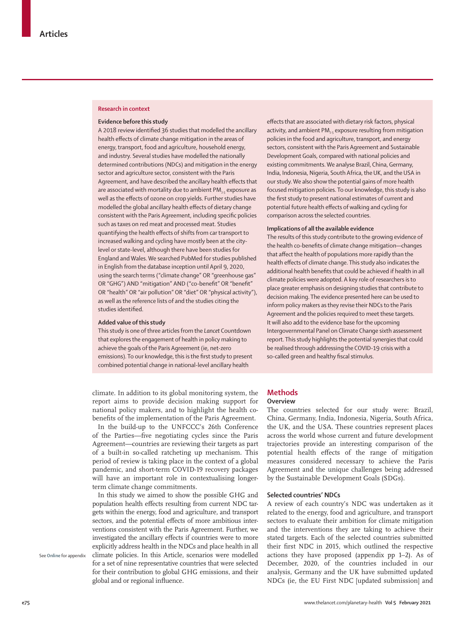### **Research in context**

## **Evidence before this study**

A 2018 review identified 36 studies that modelled the ancillary health effects of climate change mitigation in the areas of energy, transport, food and agriculture, household energy, and industry. Several studies have modelled the nationally determined contributions (NDCs) and mitigation in the energy sector and agriculture sector, consistent with the Paris Agreement, and have described the ancillary health effects that are associated with mortality due to ambient  $PM_{25}$  exposure as well as the effects of ozone on crop yields. Further studies have modelled the global ancillary health effects of dietary change consistent with the Paris Agreement, including specific policies such as taxes on red meat and processed meat. Studies quantifying the health effects of shifts from car transport to increased walking and cycling have mostly been at the citylevel or state-level, although there have been studies for England and Wales. We searched PubMed for studies published in English from the database inception until April 9, 2020, using the search terms ("climate change" OR "greenhouse gas" OR "GHG") AND "mitigation" AND ("co-benefit" OR "benefit" OR "health" OR "air pollution" OR "diet" OR "physical activity"), as well as the reference lists of and the studies citing the studies identified.

# **Added value of this study**

This study is one of three articles from the *Lancet* Countdown that explores the engagement of health in policy making to achieve the goals of the Paris Agreement (ie, net-zero emissions). To our knowledge, this is the first study to present combined potential change in national-level ancillary health

climate. In addition to its global monitoring system, the report aims to provide decision making support for national policy makers, and to highlight the health cobenefits of the implementation of the Paris Agreement.

In the build-up to the UNFCCC's 26th Conference of the Parties—five negotiating cycles since the Paris Agreement—countries are reviewing their targets as part of a built-in so-called ratcheting up mechanism. This period of review is taking place in the context of a global pandemic, and short-term COVID-19 recovery packages will have an important role in contextualising longerterm climate change commitments.

In this study we aimed to show the possible GHG and population health effects resulting from current NDC targets within the energy, food and agriculture, and transport sectors, and the potential effects of more ambitious interventions consistent with the Paris Agreement. Further, we investigated the ancillary effects if countries were to more explicitly address health in the NDCs and place health in all climate policies. In this Article, scenarios were modelled for a set of nine representative countries that were selected for their contribution to global GHG emissions, and their global and or regional influence.

effects that are associated with dietary risk factors, physical activity, and ambient  $PM_{2.5}$  exposure resulting from mitigation policies in the food and agriculture, transport, and energy sectors, consistent with the Paris Agreement and Sustainable Development Goals, compared with national policies and existing commitments. We analyse Brazil, China, Germany, India, Indonesia, Nigeria, South Africa, the UK, and the USA in our study. We also show the potential gains of more health focused mitigation policies. To our knowledge, this study is also the first study to present national estimates of current and potential future health effects of walking and cycling for comparison across the selected countries.

#### **Implications of all the available evidence**

The results of this study contribute to the growing evidence of the health co-benefits of climate change mitigation—changes that affect the health of populations more rapidly than the health effects of climate change. This study also indicates the additional health benefits that could be achieved if health in all climate policies were adopted. A key role of researchers is to place greater emphasis on designing studies that contribute to decision making. The evidence presented here can be used to inform policy makers as they revise their NDCs to the Paris Agreement and the policies required to meet these targets. It will also add to the evidence base for the upcoming Intergovernmental Panel on Climate Change sixth assessment report. This study highlights the potential synergies that could be realised through addressing the COVID-19 crisis with a so-called green and healthy fiscal stimulus.

# **Methods**

# **Overview**

The countries selected for our study were: Brazil, China, Germany, India, Indonesia, Nigeria, South Africa, the UK, and the USA. These countries represent places across the world whose current and future development trajectories provide an interesting comparison of the potential health effects of the range of mitigation measures considered necessary to achieve the Paris Agreement and the unique challenges being addressed by the Sustainable Development Goals (SDGs).

# **Selected countries' NDCs**

A review of each country's NDC was undertaken as it related to the energy, food and agriculture, and transport sectors to evaluate their ambition for climate mitigation and the interventions they are taking to achieve their stated targets. Each of the selected countries submitted their first NDC in 2015, which outlined the respective actions they have proposed (appendix pp 1–2). As of December, 2020, of the countries included in our analysis, Germany and the UK have submitted updated NDCs (ie, the EU First NDC [updated submission] and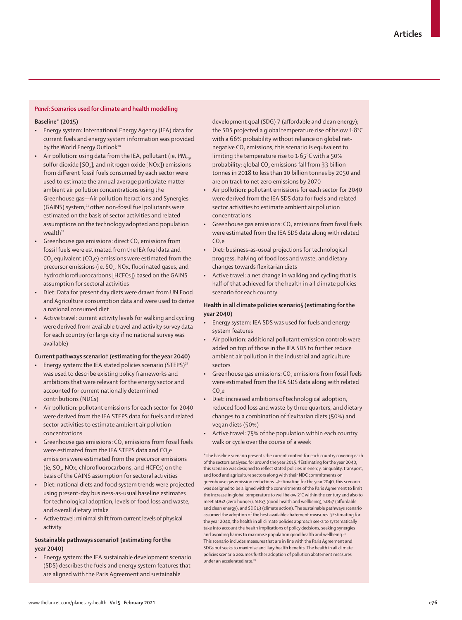# *Panel***: Scenarios used for climate and health modelling**

## **Baseline\* (2015)**

- Energy system: International Energy Agency (IEA) data for current fuels and energy system information was provided by the World Energy Outlook<sup>20</sup>
- Air pollution: using data from the IEA, pollutant (ie,  $PM_{2.5}$ , sulfur dioxide [SO<sub>2</sub>], and nitrogen oxide [NOx]) emissions from different fossil fuels consumed by each sector were used to estimate the annual average particulate matter ambient air pollution concentrations using the Greenhouse gas—Air pollution Iteractions and Synergies (GAINS) system;<sup>21</sup> other non-fossil fuel pollutants were estimated on the basis of sector activities and related assumptions on the technology adopted and population wealth<sup>22</sup>
- Greenhouse gas emissions: direct  $CO<sub>2</sub>$  emissions from fossil fuels were estimated from the IEA fuel data and CO<sub>2</sub> equivalent (CO<sub>2</sub>e) emissions were estimated from the precursor emissions (ie, SO<sub>2</sub>, NO<sub>x</sub>, fluorinated gases, and hydrochlorofluorocarbons [HCFCs]) based on the GAINS assumption for sectoral activities
- Diet: Data for present day diets were drawn from UN Food and Agriculture consumption data and were used to derive a national consumed diet
- Active travel: current activity levels for walking and cycling were derived from available travel and activity survey data for each country (or large city if no national survey was available)

## **Current pathways scenario† (estimating for the year 2040)**

- Energy system: the IEA stated policies scenario (STEPS)<sup>23</sup> was used to describe existing policy frameworks and ambitions that were relevant for the energy sector and accounted for current nationally determined contributions (NDCs)
- Air pollution: pollutant emissions for each sector for 2040 were derived from the IEA STEPS data for fuels and related sector activities to estimate ambient air pollution concentrations
- Greenhouse gas emissions: CO<sub>2</sub> emissions from fossil fuels were estimated from the IEA STEPS data and CO<sub>2</sub>e emissions were estimated from the precursor emissions (ie, SO<sub>2</sub>, NOx, chlorofluorocarbons, and HCFCs) on the basis of the GAINS assumption for sectoral activities
- Diet: national diets and food system trends were projected using present-day business-as-usual baseline estimates for technological adoption, levels of food loss and waste, and overall dietary intake
- Active travel: minimal shift from current levels of physical activity

# **Sustainable pathways scenario‡ (estimating for the year 2040)**

• Energy system: the IEA sustainable development scenario (SDS) describes the fuels and energy system features that are aligned with the Paris Agreement and sustainable

development goal (SDG) 7 (affordable and clean energy); the SDS projected a global temperature rise of below 1·8°C with a 66% probability without reliance on global netnegative CO<sub>2</sub> emissions; this scenario is equivalent to limiting the temperature rise to 1·65°C with a 50% probability; global CO<sub>2</sub> emissions fall from 33 billion tonnes in 2018 to less than 10 billion tonnes by 2050 and are on track to net zero emissions by 2070

- Air pollution: pollutant emissions for each sector for 2040 were derived from the IEA SDS data for fuels and related sector activities to estimate ambient air pollution concentrations
- Greenhouse gas emissions:  $CO<sub>2</sub>$  emissions from fossil fuels were estimated from the IEA SDS data along with related  $COe$
- Diet: business-as-usual projections for technological progress, halving of food loss and waste, and dietary changes towards flexitarian diets
- Active travel: a net change in walking and cycling that is half of that achieved for the health in all climate policies scenario for each country

# **Health in all climate policies scenario§ (estimating for the year 2040)**

- Energy system: IEA SDS was used for fuels and energy system features
- Air pollution: additional pollutant emission controls were added on top of those in the IEA SDS to further reduce ambient air pollution in the industrial and agriculture sectors
- Greenhouse gas emissions: CO<sub>2</sub> emissions from fossil fuels were estimated from the IEA SDS data along with related  $CO<sub>2</sub>e$
- Diet: increased ambitions of technological adoption, reduced food loss and waste by three quarters, and dietary changes to a combination of flexitarian diets (50%) and vegan diets (50%)
- Active travel: 75% of the population within each country walk or cycle over the course of a week

\*The baseline scenario presents the current context for each country covering each of the sectors analysed for around the year 2015. †Estimating for the year 2040, this scenario was designed to reflect stated policies in energy, air quality, transport, and food and agriculture sectors along with their NDC commitments on greenhouse gas emission reductions. ‡Estimating for the year 2040, this scenario was designed to be aligned with the commitments of the Paris Agreement to limit the increase in global temperature to well below 2°C within the century and also to meet SDG2 (zero hunger), SDG3 (good health and wellbeing), SDG7 (affordable and clean energy), and SDG13 (climate action). The sustainable pathways scenario assumed the adoption of the best available abatement measures. §Estimating for the year 2040, the health in all climate policies approach seeks to systematically take into account the health implications of policy decisions, seeking synergies and avoiding harms to maximise population good health and wellbeing.<sup>2</sup> This scenario includes measures that are in line with the Paris Agreement and SDGs but seeks to maximise ancillary health benefits. The health in all climate policies scenario assumes further adoption of pollution abatement measures under an accelerated rate.25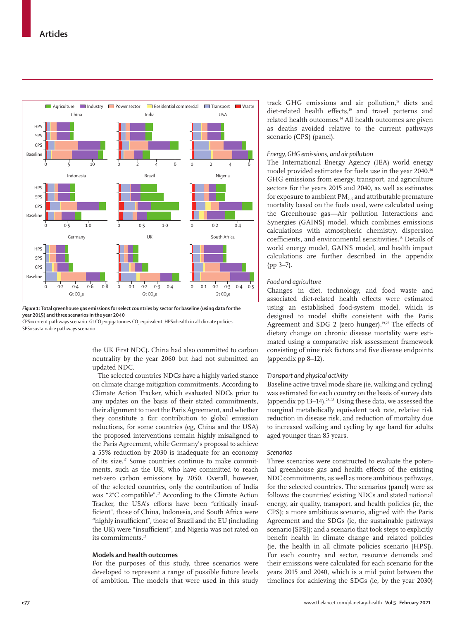

*Figure 1:* **Total greenhouse gas emissions for select countries by sector for baseline (using data for the year 2015) and three scenarios in the year 2040**

CPS=current pathways scenario. Gt CO<sub>2</sub>e=qigatonnes CO<sub>2</sub> equivalent. HPS=health in all climate policies. SPS=sustainable pathways scenario.

> the UK First NDC). China had also committed to carbon neutrality by the year 2060 but had not submitted an updated NDC.

> The selected countries NDCs have a highly varied stance on climate change mitigation commitments. According to Climate Action Tracker, which evaluated NDCs prior to any updates on the basis of their stated commitments, their alignment to meet the Paris Agreement, and whether they constitute a fair contribution to global emission reductions, for some countries (eg, China and the USA) the proposed interventions remain highly misaligned to the Paris Agreement, while Germany's proposal to achieve a 55% reduction by 2030 is inadequate for an economy of its size.<sup> $17$ </sup> Some countries continue to make commitments, such as the UK, who have committed to reach net-zero carbon emissions by 2050. Overall, however, of the selected countries, only the contribution of India was "2°C compatible".<sup>17</sup> According to the Climate Action Tracker, the USA's efforts have been "critically insufficient", those of China, Indonesia, and South Africa were "highly insufficient", those of Brazil and the EU (including the UK) were "insufficient", and Nigeria was not rated on its commitments.<sup>17</sup>

# **Models and health outcomes**

For the purposes of this study, three scenarios were developed to represent a range of possible future levels of ambition. The models that were used in this study track GHG emissions and air pollution,<sup>18</sup> diets and diet-related health effects,<sup>19</sup> and travel patterns and related health outcomes.14 All health outcomes are given as deaths avoided relative to the current pathways scenario (CPS) (panel).

# *Energy, GHG emissions, and air pollution*

The International Energy Agency (IEA) world energy model provided estimates for fuels use in the year 2040.26 GHG emissions from energy, transport, and agriculture sectors for the years 2015 and 2040, as well as estimates for exposure to ambient  $PM_{2.5}$  and attributable premature mortality based on the fuels used, were calculated using the Greenhouse gas—Air pollution Interactions and Synergies (GAINS) model, which combines emissions calculations with atmospheric chemistry, dispersion coefficients, and environmental sensitivities.18 Details of world energy model, GAINS model, and health impact calculations are further described in the appendix (pp 3–7).

# *Food and agriculture*

Changes in diet, technology, and food waste and associated diet-related health effects were estimated using an established food-system model, which is designed to model shifts consistent with the Paris Agreement and SDG 2 (zero hunger).<sup>19,27</sup> The effects of dietary change on chronic disease mortality were estimated using a comparative risk assessment framework consisting of nine risk factors and five disease endpoints (appendix pp 8–12).

# *Transport and physical activity*

Baseline active travel mode share (ie, walking and cycling) was estimated for each country on the basis of survey data (appendix pp  $13-14$ ).<sup>28-35</sup> Using these data, we assessed the marginal metabolically equivalent task rate, relative risk reduction in disease risk, and reduction of mortality due to increased walking and cycling by age band for adults aged younger than 85 years.

## *Scenarios*

Three scenarios were constructed to evaluate the potential greenhouse gas and health effects of the existing NDC commitments, as well as more ambitious pathways, for the selected countries. The scenarios (panel) were as follows: the countries' existing NDCs and stated national energy, air quality, transport, and health policies (ie, the CPS); a more ambitious scenario, aligned with the Paris Agreement and the SDGs (ie, the sustainable pathways scenario [SPS]); and a scenario that took steps to explicitly benefit health in climate change and related policies (ie, the health in all climate policies scenario [HPS]). For each country and sector, resource demands and their emissions were calculated for each scenario for the years 2015 and 2040, which is a mid point between the timelines for achieving the SDGs (ie, by the year 2030)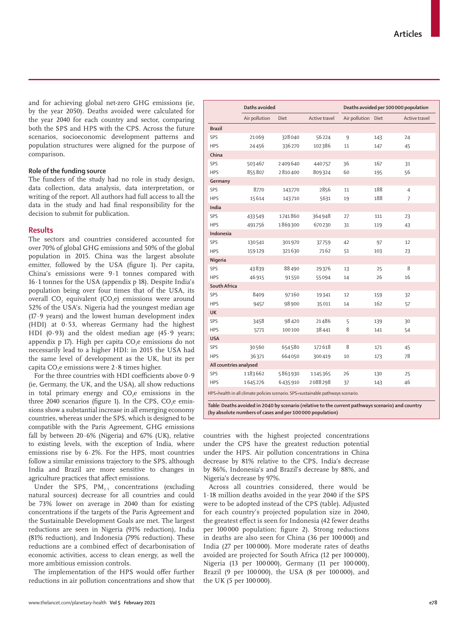and for achieving global net-zero GHG emissions (ie, by the year 2050). Deaths avoided were calculated for the year 2040 for each country and sector, comparing both the SPS and HPS with the CPS. Across the future scenarios, socioeconomic development patterns and population structures were aligned for the purpose of comparison.

# **Role of the funding source**

The funders of the study had no role in study design, data collection, data analysis, data interpretation, or writing of the report. All authors had full access to all the data in the study and had final responsibility for the decision to submit for publication.

## **Results**

The sectors and countries considered accounted for over 70% of global GHG emissions and 50% of the global population in 2015. China was the largest absolute emitter, followed by the USA (figure 1). Per capita, China's emissions were 9·1 tonnes compared with 16·1 tonnes for the USA (appendix p 18). Despite India's population being over four times that of the USA, its overall  $CO<sub>2</sub>$  equivalent  $(CO<sub>2</sub>e)$  emissions were around 52% of the USA's. Nigeria had the youngest median age (17·9 years) and the lowest human development index (HDI) at 0·53, whereas Germany had the highest HDI  $(0.93)$  and the oldest median age  $(45.9 \text{ years})$ appendix p 17). High per capita  $CO<sub>2</sub>e$  emissions do not necessarily lead to a higher HDI: in 2015 the USA had the same level of development as the UK, but its per capita CO<sub>2</sub>e emissions were  $2.8$  times higher.

For the three countries with HDI coefficients above 0·9 (ie, Germany, the UK, and the USA), all show reductions in total primary energy and CO<sub>2</sub>e emissions in the three  $2040$  scenarios (figure 1). In the CPS, CO<sub>2</sub>e emissions show a substantial increase in all emerging economy countries, whereas under the SPS, which is designed to be compatible with the Paris Agreement, GHG emissions fall by between  $20.6\%$  (Nigeria) and 67% (UK), relative to existing levels, with the exception of India, where emissions rise by  $6.2\%$ . For the HPS, most countries follow a similar emissions trajectory to the SPS, although India and Brazil are more sensitive to changes in agriculture practices that affect emissions.

Under the SPS,  $PM_{2.5}$  concentrations (excluding natural sources) decrease for all countries and could be 73% lower on average in 2040 than for existing concentrations if the targets of the Paris Agreement and the Sustainable Development Goals are met. The largest reductions are seen in Nigeria (91% reduction), India (81% reduction), and Indonesia (79% reduction). These reductions are a combined effect of decarbonisation of economic activities, access to clean energy, as well the more ambitious emission controls.

The implementation of the HPS would offer further reductions in air pollution concentrations and show that

|                                                                                 | Daths avoided |         |               | Deaths avoided per 100 000 population |     |               |
|---------------------------------------------------------------------------------|---------------|---------|---------------|---------------------------------------|-----|---------------|
|                                                                                 | Air pollution | Diet    | Active travel | Air pollution Diet                    |     | Active travel |
| <b>Brazil</b>                                                                   |               |         |               |                                       |     |               |
| SPS                                                                             | 21069         | 328040  | 56224         | 9                                     | 143 | 24            |
| <b>HPS</b>                                                                      | 24456         | 336270  | 102386        | 11                                    | 147 | 45            |
| China                                                                           |               |         |               |                                       |     |               |
| SPS                                                                             | 503467        | 2409640 | 440757        | 36                                    | 167 | 31            |
| <b>HPS</b>                                                                      | 855807        | 2810400 | 809324        | 60                                    | 195 | 56            |
| Germany                                                                         |               |         |               |                                       |     |               |
| SPS                                                                             | 8770          | 143770  | 2856          | 11                                    | 188 | 4             |
| <b>HPS</b>                                                                      | 15614         | 143710  | 5631          | 19                                    | 188 | 7             |
| India                                                                           |               |         |               |                                       |     |               |
| SPS                                                                             | 433549        | 1741860 | 364948        | 27                                    | 111 | 23            |
| <b>HPS</b>                                                                      | 491756        | 1869300 | 670230        | 31                                    | 119 | 43            |
| Indonesia                                                                       |               |         |               |                                       |     |               |
| SPS                                                                             | 130541        | 301970  | 37759         | 42                                    | 97  | 12            |
| <b>HPS</b>                                                                      | 159129        | 321630  | 7162          | 51                                    | 103 | 23            |
| Nigeria                                                                         |               |         |               |                                       |     |               |
| SPS                                                                             | 43839         | 88490   | 29376         | 13                                    | 25  | 8             |
| <b>HPS</b>                                                                      | 46915         | 91550   | 55094         | 14                                    | 26  | 16            |
| South Africa                                                                    |               |         |               |                                       |     |               |
| SPS                                                                             | 8409          | 97160   | 19341         | 12                                    | 159 | 32            |
| <b>HPS</b>                                                                      | 9457          | 98 900  | 35011         | 14                                    | 162 | 57            |
| UK                                                                              |               |         |               |                                       |     |               |
| SPS                                                                             | 3458          | 98420   | 21486         | 5                                     | 139 | 30            |
| <b>HPS</b>                                                                      | 5771          | 100100  | 38441         | 8                                     | 141 | 54            |
| <b>USA</b>                                                                      |               |         |               |                                       |     |               |
| SPS                                                                             | 30560         | 654580  | 172618        | 8                                     | 171 | 45            |
| <b>HPS</b>                                                                      | 36371         | 664050  | 300419        | 10                                    | 173 | 78            |
| All countries analysed                                                          |               |         |               |                                       |     |               |
| SPS                                                                             | 1183662       | 5863930 | 1145365       | 26                                    | 130 | 25            |
| <b>HPS</b>                                                                      | 1645276       | 6435910 | 2088298       | 37                                    | 143 | 46            |
| HPS=health in all climate policies scenario. SPS=sustainable pathways scenario. |               |         |               |                                       |     |               |

*Table:* **Deaths avoided in 2040 by scenario (relative to the current pathways scenario) and country (by absolute numbers of cases and per 100 000 population)**

countries with the highest projected concentrations under the CPS have the greatest reduction potential under the HPS. Air pollution concentrations in China decrease by 81% relative to the CPS, India's decrease by 86%, Indonesia's and Brazil's decrease by 88%, and Nigeria's decrease by 97%.

Across all countries considered, there would be 1·18 million deaths avoided in the year 2040 if the SPS were to be adopted instead of the CPS (table). Adjusted for each country's projected population size in 2040, the greatest effect is seen for Indonesia (42 fewer deaths per 100 000 population; figure 2). Strong reductions in deaths are also seen for China (36 per 100 000) and India (27 per 100 000). More moderate rates of deaths avoided are projected for South Africa (12 per 100 000), Nigeria (13 per 100 000), Germany (11 per 100 000), Brazil (9 per 100 000), the USA (8 per 100 000), and the UK (5 per 100 000).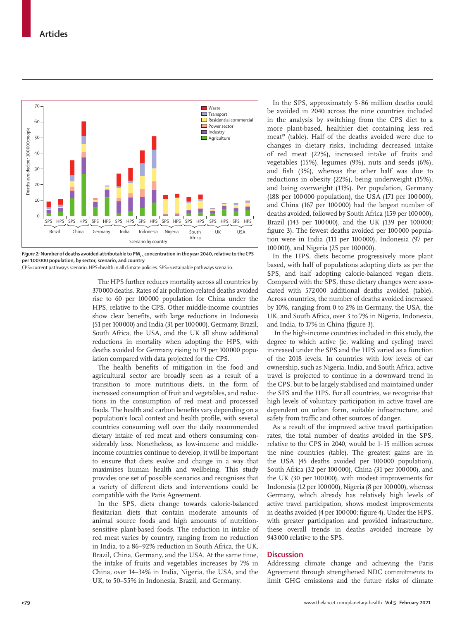

*Figure 2:* Number of deaths avoided attributable to PM<sub>25</sub> concentration in the year 2040, relative to the CPS **per 100 000 population, by sector, scenario, and country**

CPS=current pathways scenario. HPS=health in all climate policies. SPS=sustainable pathways scenario.

The HPS further reduces mortality across all countries by 370000 deaths. Rates of air pollution-related deaths avoided rise to 60 per 100000 population for China under the HPS, relative to the CPS. Other middle-income countries show clear benefits, with large reductions in Indonesia (51 per 100000) and India (31 per 100000). Germany, Brazil, South Africa, the USA, and the UK all show additional reductions in mortality when adopting the HPS, with deaths avoided for Germany rising to 19 per 100000 population compared with data projected for the CPS.

The health benefits of mitigation in the food and agricultural sector are broadly seen as a result of a transition to more nutritious diets, in the form of increased consumption of fruit and vegetables, and reductions in the consumption of red meat and processed foods. The health and carbon benefits vary depending on a population's local context and health profile, with several countries consuming well over the daily recommended dietary intake of red meat and others consuming considerably less. Nonetheless, as low-income and middleincome countries continue to develop, it will be important to ensure that diets evolve and change in a way that maximises human health and wellbeing. This study provides one set of possible scenarios and recognises that a variety of different diets and interventions could be compatible with the Paris Agreement.

In the SPS, diets change towards calorie-balanced flexitarian diets that contain moderate amounts of animal source foods and high amounts of nutritionsensitive plant-based foods. The reduction in intake of red meat varies by country, ranging from no reduction in India, to a 86–92% reduction in South Africa, the UK, Brazil, China, Germany, and the USA. At the same time, the intake of fruits and vegetables increases by 7% in China, over 14–34% in India, Nigeria, the USA, and the UK, to 50–55% in Indonesia, Brazil, and Germany.

In the SPS, approximately 5·86 million deaths could be avoided in 2040 across the nine countries included in the analysis by switching from the CPS diet to a more plant-based, healthier diet containing less red meat<sup>19</sup> (table). Half of the deaths avoided were due to changes in dietary risks, including decreased intake of red meat (22%), increased intake of fruits and vegetables (15%), legumes (9%), nuts and seeds (6%), and fish (3%), whereas the other half was due to reductions in obesity (22%), being underweight (15%), and being overweight (11%). Per population, Germany (188 per 100 000 population), the USA (171 per 100 000), and China (167 per 100000) had the largest number of deaths avoided, followed by South Africa (159 per 100000), Brazil (143 per 100000), and the UK (139 per 100000; figure 3). The fewest deaths avoided per 100000 population were in India (111 per 100000), Indonesia (97 per 100000), and Nigeria (25 per 100000).

In the HPS, diets become progressively more plant based, with half of populations adopting diets as per the SPS, and half adopting calorie-balanced vegan diets. Compared with the SPS, these dietary changes were associated with 572000 additional deaths avoided (table). Across countries, the number of deaths avoided increased by 10%, ranging from 0 to 2% in Germany, the USA, the UK, and South Africa, over 3 to 7% in Nigeria, Indonesia, and India, to 17% in China (figure 3).

 In the high-income countries included in this study, the degree to which active (ie, walking and cycling) travel increased under the SPS and the HPS varied as a function of the 2018 levels. In countries with low levels of car ownership, such as Nigeria, India, and South Africa, active travel is projected to continue in a downward trend in the CPS, but to be largely stabilised and maintained under the SPS and the HPS. For all countries, we recognise that high levels of voluntary participation in active travel are dependent on urban form, suitable infrastructure, and safety from traffic and other sources of danger.

As a result of the improved active travel participation rates, the total number of deaths avoided in the SPS, relative to the CPS in 2040, would be 1·15 million across the nine countries (table). The greatest gains are in the USA (45 deaths avoided per 100000 population), South Africa (32 per 100000), China (31 per 100000), and the UK (30 per 100000), with modest improvements for Indonesia (12 per 100000), Nigeria (8 per 100000), whereas Germany, which already has relatively high levels of active travel participation, shows modest improvements in deaths avoided (4 per 100000; figure 4). Under the HPS, with greater participation and provided infrastructure, these overall trends in deaths avoided increase by 943000 relative to the SPS.

# **Discussion**

Addressing climate change and achieving the Paris Agreement through strengthened NDC commitments to limit GHG emissions and the future risks of climate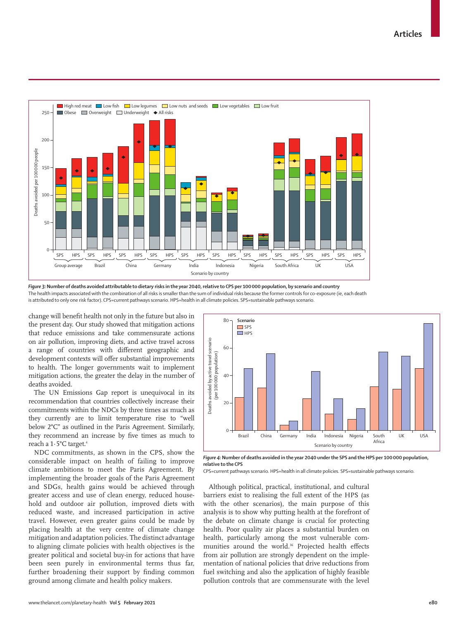

*Figure 3:***Number of deaths avoided attributable to dietary risks in the year 2040, relative to CPS per 100 000 population, by scenario and country** The health impacts associated with the combination of all risks is smaller than the sum of individual risks because the former controls for co-exposure (ie, each death is attributed to only one risk factor). CPS=current pathways scenario. HPS=health in all climate policies. SPS=sustainable pathways scenario.

change will benefit health not only in the future but also in the present day. Our study showed that mitigation actions that reduce emissions and take commensurate actions on air pollution, improving diets, and active travel across a range of countries with different geographic and development contexts will offer substantial improvements to health. The longer governments wait to implement mitigation actions, the greater the delay in the number of deaths avoided.

The UN Emissions Gap report is unequivocal in its recommendation that countries collectively increase their commitments within the NDCs by three times as much as they currently are to limit temperature rise to "well below 2°C" as outlined in the Paris Agreement. Similarly, they recommend an increase by five times as much to reach a 1·5°C target.4

NDC commitments, as shown in the CPS, show the considerable impact on health of failing to improve climate ambitions to meet the Paris Agreement. By implementing the broader goals of the Paris Agreement and SDGs, health gains would be achieved through greater access and use of clean energy, reduced household and outdoor air pollution, improved diets with reduced waste, and increased participation in active travel. However, even greater gains could be made by placing health at the very centre of climate change mitigation and adaptation policies. The distinct advantage to aligning climate policies with health objectives is the greater political and societal buy-in for actions that have been seen purely in environmental terms thus far, further broadening their support by finding common ground among climate and health policy makers.



*Figure 4:* **Number of deaths avoided in the year 2040 under the SPS and the HPS per 100000 population, relative to the CPS**

CPS=current pathways scenario. HPS=health in all climate policies. SPS=sustainable pathways scenario.

Although political, practical, institutional, and cultural barriers exist to realising the full extent of the HPS (as with the other scenarios), the main purpose of this analysis is to show why putting health at the forefront of the debate on climate change is crucial for protecting health. Poor quality air places a substantial burden on health, particularly among the most vulnerable communities around the world.<sup>36</sup> Projected health effects from air pollution are strongly dependent on the implementation of national policies that drive reductions from fuel switching and also the application of highly feasible pollution controls that are commensurate with the level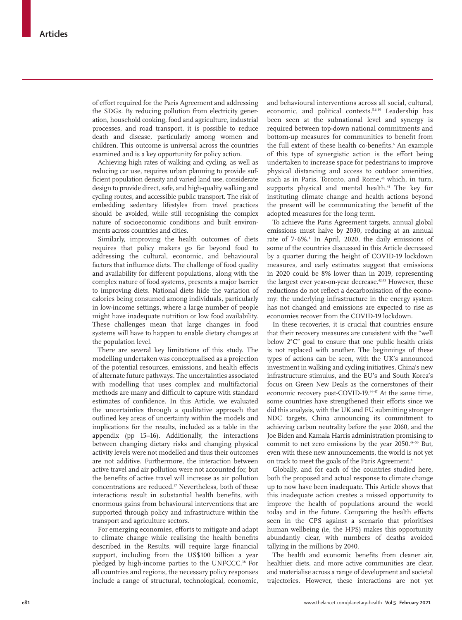of effort required for the Paris Agreement and addressing the SDGs. By reducing pollution from electricity generation, household cooking, food and agriculture, industrial processes, and road transport, it is possible to reduce death and disease, particularly among women and children. This outcome is universal across the countries examined and is a key opportunity for policy action.

Achieving high rates of walking and cycling, as well as reducing car use, requires urban planning to provide sufficient population density and varied land use, considerate design to provide direct, safe, and high-quality walking and cycling routes, and accessible public transport. The risk of embedding sedentary lifestyles from travel practices should be avoided, while still recognising the complex nature of socioeconomic conditions and built environments across countries and cities.

Similarly, improving the health outcomes of diets requires that policy makers go far beyond food to addressing the cultural, economic, and behavioural factors that influence diets. The challenge of food quality and availability for different populations, along with the complex nature of food systems, presents a major barrier to improving diets. National diets hide the variation of calories being consumed among individuals, particularly in low-income settings, where a large number of people might have inadequate nutrition or low food availability. These challenges mean that large changes in food systems will have to happen to enable dietary changes at the population level.

There are several key limitations of this study. The modelling undertaken was conceptualised as a projection of the potential resources, emissions, and health effects of alternate future pathways. The uncertainties associated with modelling that uses complex and multifactorial methods are many and difficult to capture with standard estimates of confidence. In this Article, we evaluated the uncertainties through a qualitative approach that outlined key areas of uncertainty within the models and implications for the results, included as a table in the appendix (pp 15–16). Additionally, the interactions between changing dietary risks and changing physical activity levels were not modelled and thus their outcomes are not additive. Furthermore, the interaction between active travel and air pollution were not accounted for, but the benefits of active travel will increase as air pollution concentrations are reduced.<sup>37</sup> Nevertheless, both of these interactions result in substantial health benefits, with enormous gains from behavioural interventions that are supported through policy and infrastructure within the transport and agriculture sectors.

For emerging economies, efforts to mitigate and adapt to climate change while realising the health benefits described in the Results, will require large financial support, including from the US\$100 billion a year pledged by high-income parties to the UNFCCC.<sup>38</sup> For all countries and regions, the necessary policy responses include a range of structural, technological, economic, and behavioural interventions across all social, cultural, economic, and political contexts.5,6,39 Leadership has been seen at the subnational level and synergy is required between top-down national commitments and bottom-up measures for communities to benefit from the full extent of these health co-benefits.<sup>6</sup> An example of this type of synergistic action is the effort being undertaken to increase space for pedestrians to improve physical distancing and access to outdoor amenities, such as in Paris, Toronto, and Rome,<sup>40</sup> which, in turn, supports physical and mental health.<sup>41</sup> The key for instituting climate change and health actions beyond the present will be communicating the benefit of the adopted measures for the long term.

To achieve the Paris Agreement targets, annual global emissions must halve by 2030, reducing at an annual rate of  $7.6\%$ <sup>4</sup> In April, 2020, the daily emissions of some of the countries discussed in this Article decreased by a quarter during the height of COVID-19 lockdown measures, and early estimates suggest that emissions in 2020 could be 8% lower than in 2019, representing the largest ever year-on-year decrease.<sup>42,43</sup> However, these reductions do not reflect a decarbonisation of the economy: the underlying infrastructure in the energy system has not changed and emissions are expected to rise as economies recover from the COVID-19 lockdown.

In these recoveries, it is crucial that countries ensure that their recovery measures are consistent with the "well below 2°C" goal to ensure that one public health crisis is not replaced with another. The beginnings of these types of actions can be seen, with the UK's announced investment in walking and cycling initiatives, China's new infrastructure stimulus, and the EU's and South Korea's focus on Green New Deals as the cornerstones of their economic recovery post-COVID-19.<sup>44-47</sup> At the same time, some countries have strengthened their efforts since we did this analysis, with the UK and EU submitting stronger NDC targets, China announcing its commitment to achieving carbon neutrality before the year 2060, and the Joe Biden and Kamala Harris administration promising to commit to net zero emissions by the year 2050.48–50 But, even with these new announcements, the world is not yet on track to meet the goals of the Paris Agreement.<sup>4</sup>

Globally, and for each of the countries studied here, both the proposed and actual response to climate change up to now have been inadequate. This Article shows that this inadequate action creates a missed opportunity to improve the health of populations around the world today and in the future. Comparing the health effects seen in the CPS against a scenario that prioritises human wellbeing (ie, the HPS) makes this opportunity abundantly clear, with numbers of deaths avoided tallying in the millions by 2040.

The health and economic benefits from cleaner air, healthier diets, and more active communities are clear, and materialise across a range of development and societal trajectories. However, these interactions are not yet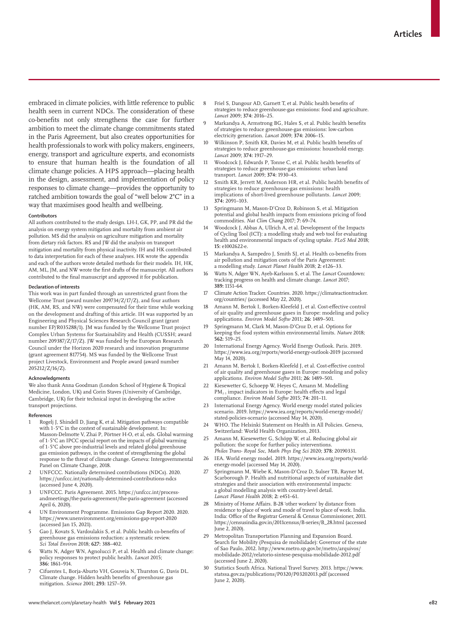embraced in climate policies, with little reference to public health seen in current NDCs. The consideration of these co-benefits not only strengthens the case for further ambition to meet the climate change commitments stated in the Paris Agreement, but also creates opportunities for health professionals to work with policy makers, engineers, energy, transport and agriculture experts, and economists to ensure that human health is the foundation of all climate change policies. A HPS approach—placing health in the design, assessment, and implementation of policy responses to climate change—provides the opportunity to ratched ambition towards the goal of "well below 2°C" in a way that maximises good health and wellbeing.

### **Contributors**

All authors contributed to the study design. LH-I, GK, PP, and PR did the analysis on energy system mitigation and mortality from ambient air pollution. MS did the analysis on agriculture mitigation and mortality from dietary risk factors. RS and JW did the analysis on transport mitigation and mortality from physical inactivity. IH and HK contributed to data interpretation for each of these analyses. HK wrote the appendix and each of the authors wrote detailed methods for their models. IH, HK, AM, ML, JM, and NW wrote the first drafts of the manuscript. All authors contributed to the final manuscript and approved it for publication.

#### **Declaration of interests**

This work was in part funded through an unrestricted grant from the Wellcome Trust (award number 209734/Z/17/Z), and four authors (HK, AM, RS, and NW) were compensated for their time while working on the development and drafting of this article. IH was supported by an Engineering and Physical Sciences Research Council grant (grant number EP/R035288/1). JM was funded by the Wellcome Trust project Complex Urban Systems for Sustainability and Health (CUSSH; award number 209387/Z/17/Z). JW was funded by the European Research Council under the Horizon 2020 research and innovation programme (grant agreement 817754). MS was funded by the Wellcome Trust project Livestock, Environment and People award (award number 205212/Z/16/Z).

#### **Acknowledgments**

We also thank Anna Goodman (London School of Hygiene & Tropical Medicine, London, UK) and Corin Staves (University of Cambridge, Cambridge, UK) for their technical input in developing the active transport projections.

#### **References**

- Rogelj J, Shindell D, Jiang K, et al. Mitigation pathways compatible with 1·5°C in the context of sustainable development. In: Masson-Delmotte V, Zhai P, Pörtner H-O, et al, eds. Global warming of 1·5°C an IPCC special report on the impacts of global warming of 1·5°C above pre-industrial levels and related global greenhouse gas emission pathways, in the context of strengthening the global response to the threat of climate change. Geneva: Intergovernmental Panel on Climate Change, 2018.
- 2 UNFCCC. Nationally determined contributions (NDCs). 2020. https://unfccc.int/nationally-determined-contributions-ndcs (accessed June 4, 2020).
- 3 UNFCCC. Paris Agreement. 2015. https://unfccc.int/processandmeetings/the-paris-agreement/the-paris-agreement (accessed April 6, 2020).
- 4 UN Environment Programme. Emissions Gap Report 2020. 2020. https://www.unenvironment.org/emissions-gap-report-2020 (accessed Jan 15, 2021).
- 5 Gao J, Kovats S, Vardoulakis S, et al. Public health co-benefits of greenhouse gas emissions reduction: a systematic review. *Sci Total Environ* 2018; **627:** 388–402.
- Watts N, Adger WN, Agnolucci P, et al. Health and climate change: policy responses to protect public health. *Lancet* 2015; **386:** 1861–914.
- 7 Cifuentes L, Borja-Aburto VH, Gouveia N, Thurston G, Davis DL. Climate change. Hidden health benefits of greenhouse gas mitigation. *Science* 2001; **293:** 1257–59.
- 8 Friel S, Dangour AD, Garnett T, et al. Public health benefits of strategies to reduce greenhouse-gas emissions: food and agriculture. *Lancet* 2009; **374:** 2016–25.
- 9 Markandya A, Armstrong BG, Hales S, et al. Public health benefits of strategies to reduce greenhouse-gas emissions: low-carbon electricity generation. *Lancet* 2009; **374:** 2006–15.
- 10 Wilkinson P, Smith KR, Davies M, et al. Public health benefits of strategies to reduce greenhouse-gas emissions: household energy. *Lancet* 2009; **374:** 1917–29.
- 11 Woodcock J, Edwards P, Tonne C, et al. Public health benefits of strategies to reduce greenhouse-gas emissions: urban land transport. *Lancet* 2009; **374:** 1930–43.
- Smith KR, Jerrett M, Anderson HR, et al. Public health benefits of strategies to reduce greenhouse-gas emissions: health implications of short-lived greenhouse pollutants. *Lancet* 2009; **374:** 2091–103.
- 13 Springmann M, Mason-D'Croz D, Robinson S, et al. Mitigation potential and global health impacts from emissions pricing of food commodities. *Nat Clim Chang* 2017; **7:** 69–74.
- 14 Woodcock J, Abbas A, Ullrich A, et al. Development of the Impacts of Cycling Tool (ICT): a modelling study and web tool for evaluating health and environmental impacts of cycling uptake. *PLoS Med* 2018; **15:** e1002622-e.
- Markandya A, Sampedro J, Smith SJ, et al. Health co-benefits from air pollution and mitigation costs of the Paris Agreement: a modelling study. *Lancet Planet Health* 2018; **2:** e126–33.
- 16 Watts N, Adger WN, Ayeb-Karlsson S, et al. The *Lancet* Countdown: tracking progress on health and climate change. *Lancet* 2017; **389:** 1151–64.
- Climate Action Tracker. Countries. 2020. https://climateactiontracker. org/countries/ (accessed May 22, 2020).
- 18 Amann M, Bertok I, Borken-Kleefeld J, et al. Cost-effective control of air quality and greenhouse gases in Europe: modeling and policy applications. *Environ Model Softw* 2011; **26:** 1489–501.
- Springmann M, Clark M, Mason-D'Croz D, et al. Options for keeping the food system within environmental limits. *Nature* 2018; **562:** 519–25.
- 20 International Energy Agency. World Energy Outlook. Paris. 2019. https://www.iea.org/reports/world-energy-outlook-2019 (accessed May 14, 2020).
- Amann M, Bertok I, Borken-Kleefeld J, et al. Cost-effective control of air quality and greenhouse gases in Europe: modeling and policy applications. *Environ Model Softw* 2011; **26:** 1489–501.
- 22 Kiesewetter G, Schoepp W, Heyes C, Amann M. Modelling PM<sub>2</sub>, impact indicators in Europe: health effects and legal compliance. *Environ Model Softw* 2015; **74:** 201–11.
- 23 International Energy Agency. World energy model stated policies scenario. 2019. https://www.iea.org/reports/world-energy-model/ stated-policies-scenario (accessed May 14, 2020).
- 24 WHO. The Helsinki Statement on Health in All Policies. Geneva, Switzerland: World Health Organization, 2013.
- 25 Amann M, Kiesewetter G, Schöpp W, et al. Reducing global air pollution: the scope for further policy interventions. *Philos Trans- Royal Soc, Math Phys Eng Sci* 2020; **378:** 20190331.
- 26 IEA. World energy model. 2019. https://www.iea.org/reports/worldenergy-model (accessed May 14, 2020).
- 27 Springmann M, Wiebe K, Mason-D'Croz D, Sulser TB, Rayner M, Scarborough P. Health and nutritional aspects of sustainable diet strategies and their association with environmental impacts: a global modelling analysis with country-level detail. *Lancet Planet Health* 2018; **2:** e451–61.
- 28 Ministry of Home Affairs. B-28 'other workers' by distance from residence to place of work and mode of travel to place of work. India. India: Office of the Registrar General & Census Commissioner, 2011. https://censusindia.gov.in/2011census/B-series/B\_28.html (accessed June 2, 2020).
- 29 Metropolitan Transportation Planning and Expansion Board. Search for Mobility (Pesquisa de mobilidade): Governor of the state of Sao Paulo, 2012. http://www.metro.sp.gov.br/metro/arquivos/ mobilidade-2012/relatorio-sintese-pesquisa-mobilidade-2012.pdf (accessed June 2, 2020).
- Statistics South Africa. National Travel Survey. 2013. https://www. statssa.gov.za/publications/P0320/P03202013.pdf (accessed June 2, 2020).